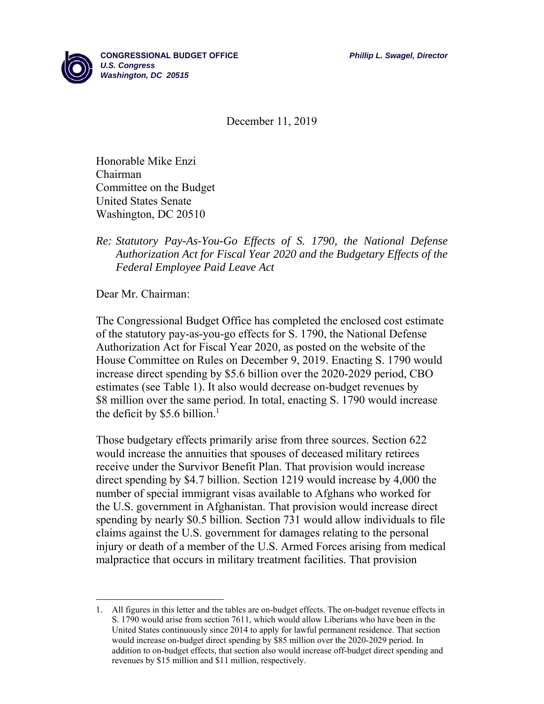

December 11, 2019

Honorable Mike Enzi Chairman Committee on the Budget United States Senate Washington, DC 20510

## *Re: Statutory Pay-As-You-Go Effects of S. 1790, the National Defense Authorization Act for Fiscal Year 2020 and the Budgetary Effects of the Federal Employee Paid Leave Act*

Dear Mr. Chairman:

The Congressional Budget Office has completed the enclosed cost estimate of the statutory pay-as-you-go effects for S. 1790, the National Defense Authorization Act for Fiscal Year 2020, as posted on the website of the House Committee on Rules on December 9, 2019. Enacting S. 1790 would increase direct spending by \$5.6 billion over the 2020-2029 period, CBO estimates (see Table 1). It also would decrease on-budget revenues by \$8 million over the same period. In total, enacting S. 1790 would increase the deficit by \$5.6 billion.<sup>1</sup>

Those budgetary effects primarily arise from three sources. Section 622 would increase the annuities that spouses of deceased military retirees receive under the Survivor Benefit Plan. That provision would increase direct spending by \$4.7 billion. Section 1219 would increase by 4,000 the number of special immigrant visas available to Afghans who worked for the U.S. government in Afghanistan. That provision would increase direct spending by nearly \$0.5 billion. Section 731 would allow individuals to file claims against the U.S. government for damages relating to the personal injury or death of a member of the U.S. Armed Forces arising from medical malpractice that occurs in military treatment facilities. That provision

<sup>1.</sup> All figures in this letter and the tables are on-budget effects. The on-budget revenue effects in S. 1790 would arise from section 7611, which would allow Liberians who have been in the United States continuously since 2014 to apply for lawful permanent residence. That section would increase on-budget direct spending by \$85 million over the 2020-2029 period. In addition to on-budget effects, that section also would increase off-budget direct spending and revenues by \$15 million and \$11 million, respectively.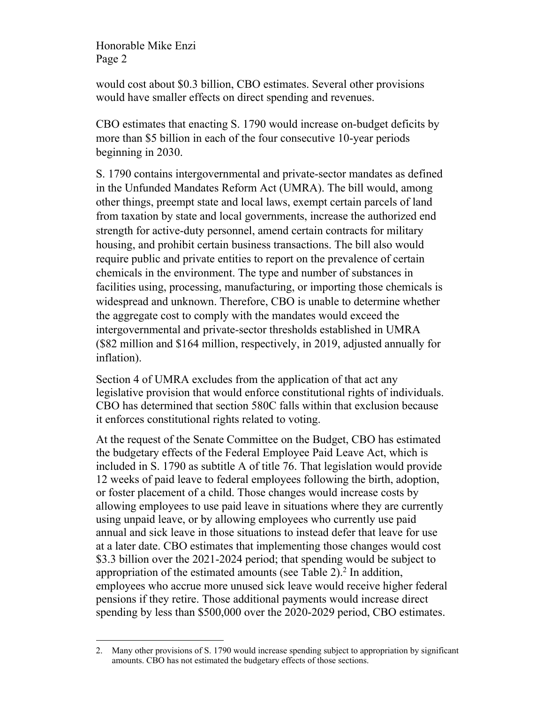Honorable Mike Enzi Page 2

would cost about \$0.3 billion, CBO estimates. Several other provisions would have smaller effects on direct spending and revenues.

CBO estimates that enacting S. 1790 would increase on-budget deficits by more than \$5 billion in each of the four consecutive 10-year periods beginning in 2030.

S. 1790 contains intergovernmental and private-sector mandates as defined in the Unfunded Mandates Reform Act (UMRA). The bill would, among other things, preempt state and local laws, exempt certain parcels of land from taxation by state and local governments, increase the authorized end strength for active-duty personnel, amend certain contracts for military housing, and prohibit certain business transactions. The bill also would require public and private entities to report on the prevalence of certain chemicals in the environment. The type and number of substances in facilities using, processing, manufacturing, or importing those chemicals is widespread and unknown. Therefore, CBO is unable to determine whether the aggregate cost to comply with the mandates would exceed the intergovernmental and private-sector thresholds established in UMRA (\$82 million and \$164 million, respectively, in 2019, adjusted annually for inflation).

Section 4 of UMRA excludes from the application of that act any legislative provision that would enforce constitutional rights of individuals. CBO has determined that section 580C falls within that exclusion because it enforces constitutional rights related to voting.

At the request of the Senate Committee on the Budget, CBO has estimated the budgetary effects of the Federal Employee Paid Leave Act, which is included in S. 1790 as subtitle A of title 76. That legislation would provide 12 weeks of paid leave to federal employees following the birth, adoption, or foster placement of a child. Those changes would increase costs by allowing employees to use paid leave in situations where they are currently using unpaid leave, or by allowing employees who currently use paid annual and sick leave in those situations to instead defer that leave for use at a later date. CBO estimates that implementing those changes would cost \$3.3 billion over the 2021-2024 period; that spending would be subject to appropriation of the estimated amounts (see Table  $2$ ).<sup>2</sup> In addition, employees who accrue more unused sick leave would receive higher federal pensions if they retire. Those additional payments would increase direct spending by less than \$500,000 over the 2020-2029 period, CBO estimates.

 2. Many other provisions of S. 1790 would increase spending subject to appropriation by significant amounts. CBO has not estimated the budgetary effects of those sections.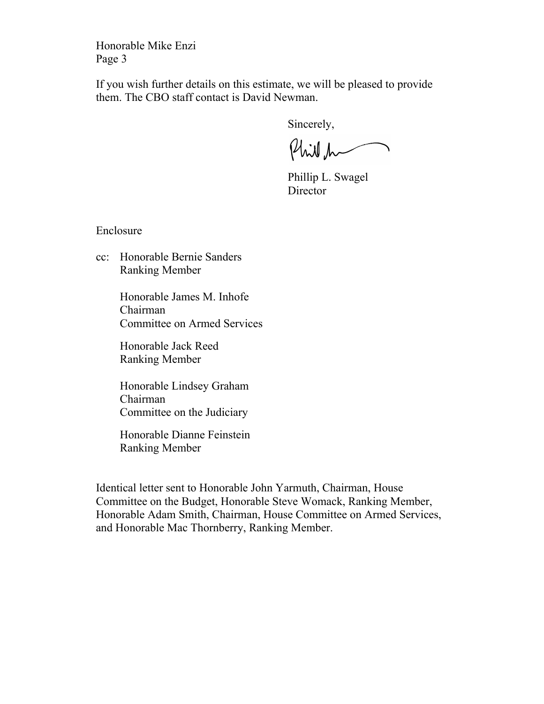Honorable Mike Enzi Page 3

If you wish further details on this estimate, we will be pleased to provide them. The CBO staff contact is David Newman.

Sincerely,

Phill h

Phillip L. Swagel **Director** 

Enclosure

cc: Honorable Bernie Sanders Ranking Member

> Honorable James M. Inhofe Chairman Committee on Armed Services

 Honorable Jack Reed Ranking Member

 Honorable Lindsey Graham Chairman Committee on the Judiciary

 Honorable Dianne Feinstein Ranking Member

Identical letter sent to Honorable John Yarmuth, Chairman, House Committee on the Budget, Honorable Steve Womack, Ranking Member, Honorable Adam Smith, Chairman, House Committee on Armed Services, and Honorable Mac Thornberry, Ranking Member.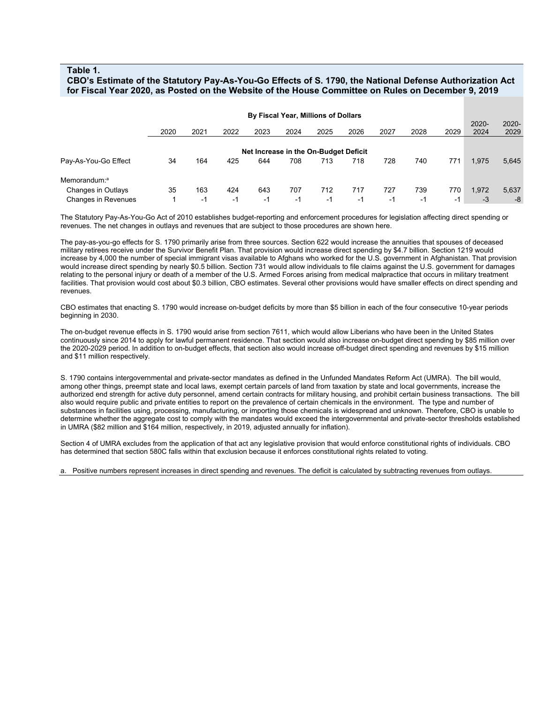## **Table 1.**

## **CBO's Estimate of the Statutory Pay-As-You-Go Effects of S. 1790, the National Defense Authorization Act for Fiscal Year 2020, as Posted on the Website of the House Committee on Rules on December 9, 2019**

| By Fiscal Year, Millions of Dollars   |      |      |      |      |      |      |      |      |      |      |               |                  |
|---------------------------------------|------|------|------|------|------|------|------|------|------|------|---------------|------------------|
|                                       | 2020 | 2021 | 2022 | 2023 | 2024 | 2025 | 2026 | 2027 | 2028 | 2029 | 2020-<br>2024 | $2020 -$<br>2029 |
|                                       |      |      |      |      |      |      |      |      |      |      |               |                  |
| Net Increase in the On-Budget Deficit |      |      |      |      |      |      |      |      |      |      |               |                  |
| Pay-As-You-Go Effect                  | 34   | 164  | 425  | 644  | 708  | 713  | 718  | 728  | 740  | 771  | 1,975         | 5,645            |
| Memorandum: <sup>a</sup>              |      |      |      |      |      |      |      |      |      |      |               |                  |
| Changes in Outlays                    | 35   | 163  | 424  | 643  | 707  | 712  | 717  | 727  | 739  | 770  | 1,972         | 5,637            |
| Changes in Revenues                   |      | $-1$ | -1   | $-1$ | $-1$ | -1   | $-1$ | -1   | $-1$ | $-1$ | $-3$          | -8               |

The Statutory Pay-As-You-Go Act of 2010 establishes budget-reporting and enforcement procedures for legislation affecting direct spending or revenues. The net changes in outlays and revenues that are subject to those procedures are shown here.

The pay-as-you-go effects for S. 1790 primarily arise from three sources. Section 622 would increase the annuities that spouses of deceased military retirees receive under the Survivor Benefit Plan. That provision would increase direct spending by \$4.7 billion. Section 1219 would increase by 4,000 the number of special immigrant visas available to Afghans who worked for the U.S. government in Afghanistan. That provision would increase direct spending by nearly \$0.5 billion. Section 731 would allow individuals to file claims against the U.S. government for damages relating to the personal injury or death of a member of the U.S. Armed Forces arising from medical malpractice that occurs in military treatment facilities. That provision would cost about \$0.3 billion, CBO estimates. Several other provisions would have smaller effects on direct spending and revenues.

CBO estimates that enacting S. 1790 would increase on-budget deficits by more than \$5 billion in each of the four consecutive 10-year periods beginning in 2030.

The on-budget revenue effects in S. 1790 would arise from section 7611, which would allow Liberians who have been in the United States continuously since 2014 to apply for lawful permanent residence. That section would also increase on-budget direct spending by \$85 million over the 2020-2029 period. In addition to on-budget effects, that section also would increase off-budget direct spending and revenues by \$15 million and \$11 million respectively.

S. 1790 contains intergovernmental and private-sector mandates as defined in the Unfunded Mandates Reform Act (UMRA). The bill would, among other things, preempt state and local laws, exempt certain parcels of land from taxation by state and local governments, increase the authorized end strength for active duty personnel, amend certain contracts for military housing, and prohibit certain business transactions. The bill also would require public and private entities to report on the prevalence of certain chemicals in the environment. The type and number of substances in facilities using, processing, manufacturing, or importing those chemicals is widespread and unknown. Therefore, CBO is unable to determine whether the aggregate cost to comply with the mandates would exceed the intergovernmental and private-sector thresholds established in UMRA (\$82 million and \$164 million, respectively, in 2019, adjusted annually for inflation).

Section 4 of UMRA excludes from the application of that act any legislative provision that would enforce constitutional rights of individuals. CBO has determined that section 580C falls within that exclusion because it enforces constitutional rights related to voting.

a. Positive numbers represent increases in direct spending and revenues. The deficit is calculated by subtracting revenues from outlays.